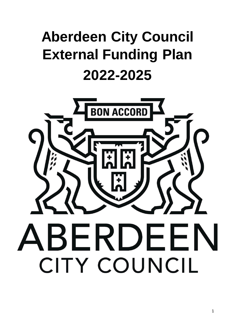# **Aberdeen City Council External Funding Plan 2022-2025**

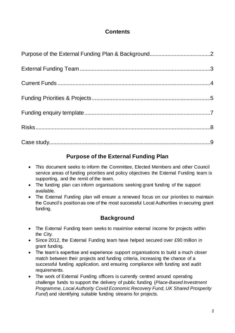## **Contents**

## **Purpose of the External Funding Plan**

- This document seeks to inform the Committee, Elected Members and other Council service areas of funding priorities and policy objectives the External Funding team is supporting, and the remit of the team.
- The funding plan can inform organisations seeking grant funding of the support available.
- The External Funding plan will ensure a renewed focus on our priorities to maintain the Council's position as one of the most successful Local Authorities in securing grant funding.

## **Background**

- The External Funding team seeks to maximise external income for projects within the City.
- Since 2012, the External Funding team have helped secured over £90 million in grant funding.
- The team's expertise and experience support organisations to build a much closer match between their projects and funding criteria, increasing the chance of a successful funding application, and ensuring compliance with funding and audit requirements.
- The work of External Funding officers is currently centred around operating challenge funds to support the delivery of public funding (*Place-Based Investment Programme, Local Authority Covid Economic Recovery Fund, UK Shared Prosperity Fund*) and identifying suitable funding streams for projects.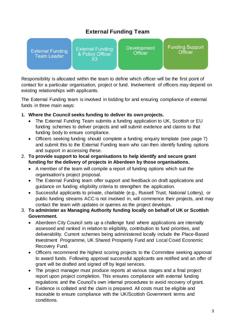## **External Funding Team**

| <b>External Funding</b><br><b>Team Leader</b> | <b>External Funding</b><br>& Policy Officer<br>X3 | <b>Development</b><br><b>Officer</b> | <b>Funding Support</b><br>Officer |
|-----------------------------------------------|---------------------------------------------------|--------------------------------------|-----------------------------------|
|                                               |                                                   |                                      |                                   |

Responsibility is allocated within the team to define which officer will be the first point of contact for a particular organisation, project or fund. Involvement of officers may depend on existing relationships with applicants.

The External Funding team is involved in bidding for and ensuring compliance of external funds in three main ways:

- **1. Where the Council seeks funding to deliver its own projects.**
	- The External Funding Team submits a funding application to UK, Scottish or EU funding schemes to deliver projects and will submit evidence and claims to that funding body to ensure compliance.
	- Officers seeking funding should complete a funding enquiry template (see page 7) and submit this to the External Funding team who can then identify funding options and support in accessing these.
- 2. **To provide support to local organisations to help identify and secure grant funding for the delivery of projects in Aberdeen by those organisations.**
	- A member of the team will compile a report of funding options which suit the organisation's project proposal.
	- The External Funding team offer support and feedback on draft applications and guidance on funding eligibility criteria to strengthen the application.
	- Successful applicants to private, charitable (e.g., Russell Trust; National Lottery), or public funding streams ACC is not involved in, will commence their projects, and may contact the team with updates or queries as the project develops.
- 3. **To administer as Managing Authority funding locally on behalf of UK or Scottish Government.**
	- Aberdeen City Council sets up a challenge fund where applications are internally assessed and ranked in relation to eligibility, contribution to fund priorities, and deliverability. Current schemes being administered locally include the Place-Based Investment Programme, UK Shared Prosperity Fund and Local Covid Economic Recovery Fund.
	- Officers recommend the highest scoring projects to the Committee seeking approval to award funds. Following approval successful applicants are notified and an offer of grant will be drafted and signed off by legal services.
	- The project manager must produce reports at various stages and a final project report upon project completion. This ensures compliance with external funding regulations and the Council's own internal procedures to avoid recovery of grant.
	- Evidence is collated and the claim is prepared. All costs must be eligible and traceable to ensure compliance with the UK/Scottish Government terms and conditions.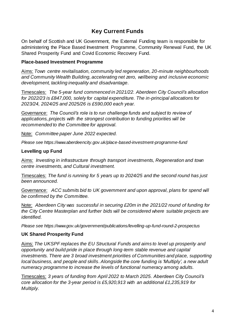## **Key Current Funds**

On behalf of Scottish and UK Government, the External Funding team is responsible for administering the Place Based Investment Programme, Community Renewal Fund, the UK Shared Prosperity Fund and Covid Economic Recovery Fund.

#### **Place-based Investment Programme**

Aims: *Town centre revitalisation, community led regeneration, 20-minute neighbourhoods and Community Wealth Building, accelerating net zero, wellbeing and inclusive economic development, tackling inequality and disadvantage.*

Timescales: *The 5-year fund commenced in 2021/22. Aberdeen City Council's allocation for 2022/23 is £847,000, solely for capital expenditure. The in-principal allocations for 2023/24, 2024/25 and 2025/26 is £590,000 each year.*

Governance: *The Council's role is to run challenge funds and subject to review of applications, projects with the strongest contribution to funding priorities will be recommended to the Committee for approval.*

Note: *Committee paper June 2022 expected.*

*Please see https://www.aberdeencity.gov.uk/place-based-investment-programme-fund* 

#### **Levelling up Fund**

Aims: *Investing in infrastructure through transport investments, Regeneration and town centre investments, and Cultural investment.* 

Timescales: *The fund is running for 5 years up to 2024/25 and the second round has just been announced.*

Governance: *ACC submits bid to UK government and upon approval, plans for spend will be confirmed by the Committee.* 

Note: *Aberdeen City was successful in securing £20m in the 2021/22 round of funding for the City Centre Masterplan and further bids will be considered where suitable projects are identified.*

*Please see https://www.gov.uk/government/publications/levelling-up-fund-round-2-prospectus*

#### **UK Shared Prosperity Fund**

Aims: *The UKSPF replaces the EU Structural Funds and aims to level up prosperity and opportunity and build pride in place through long-term stable revenue and capital investments. There are 3 broad investment priorities of Communities and place, supporting local business, and people and skills*. *Alongside the core funding is 'Multiply', a new adult numeracy programme to increase the levels of functional numeracy among adults.*

Timescales: *3 years of funding from April 2022 to March 2025. Aberdeen City Council's core allocation for the 3-year period is £5,920,913 with an additional £1,235,919 for Multiply.*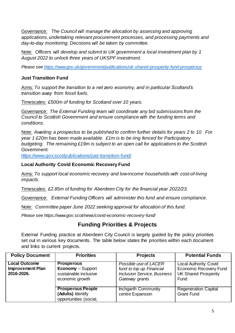Governance: *The Council will manage the allocation by assessing and approving applications, undertaking relevant procurement processes, and processing payments and day-to-day monitoring. Decisions will be taken by committee.* 

Note: *Officers will develop and submit to UK government a local investment plan by 1 August 2022 to unlock three years of UKSPF investment.* 

*Please se[e https://www.gov.uk/government/publications/uk-shared-prosperity-fund-prospectus](https://www.gov.uk/government/publications/uk-shared-prosperity-fund-prospectus)*

#### **Just Transition Fund**

Aims: *To support the transition to a net zero economy, and in particular Scotland's transition away from fossil fuels.*

Timescales: *£500m of funding for Scotland over 10 years.*

Governance: *The External Funding team will coordinate any bid submissions from the Council to Scottish Government and ensure compliance with the funding terms and conditions.*

Note: *Awaiting a prospectus to be published to confirm further details for years 2 to 10. For year 1 £20m has been made available. £1m is to be ring fenced for Participatory budgeting. The remaining £19m is subject to an open call for applications to the Scottish Government.*

<https://www.gov.scot/publications/just-transition-fund/>

#### **Local Authority Covid Economic Recovery Fund**

Aims: *To support local economic recovery and low-income households with cost-of-living impacts.*

Timescales: *£2.85m of funding for Aberdeen City for the financial year 2022/23.* 

Governance: *External Funding Officers will administer this fund and ensure compliance.*

Note: *Committee paper June 2022 seeking approval for allocation of this fund.* 

*Please see https://www.gov.scot/news/covid-economic-recovery-fund/*

## **Funding Priorities & Projects**

External Funding practice at Aberdeen City Council is largely guided by the policy priorities set out in various key documents. The table below states the priorities within each document and links to current projects.

| <b>Policy Document</b>                                        | <b>Priorities</b>                                                                         | <b>Projects</b>                                                                                           | <b>Potential Funds</b>                                                                               |
|---------------------------------------------------------------|-------------------------------------------------------------------------------------------|-----------------------------------------------------------------------------------------------------------|------------------------------------------------------------------------------------------------------|
| <b>Local Outcome</b><br><b>Improvement Plan</b><br>2016-2026. | <b>Prosperous</b><br><b>Economy</b> – Support<br>sustainable inclusive<br>economic growth | Possible use of LACER<br>fund to top up Financial<br><b>Inclusion Service, Business</b><br>Gateway grants | <b>Local Authority Covid</b><br><b>Economic Recovery Fund</b><br><b>UK Shared Prosperity</b><br>Fund |
|                                                               | <b>Prosperous People</b><br>(Adults) Identify<br>opportunities (social,                   | Inchgarth Community<br>centre Expansion                                                                   | <b>Regeneration Capital</b><br><b>Grant Fund</b>                                                     |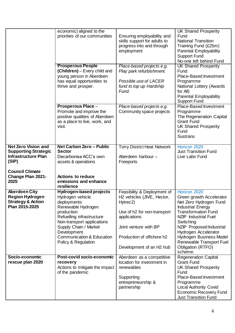|                                                                                                  | economic) aligned to the<br>priorities of our communities                                                                                                                                                                                                        | Ensuring employability and<br>skills support for adults to<br>progress into and through<br>employment                                                                                                              | <b>UK Shared Prosperity</b><br>Fund<br><b>National Transition</b><br>Training Fund (£25m)<br><b>Parental Employability</b><br><b>Support Fund</b><br>No-one left behind Fund                                                                                                                                               |
|--------------------------------------------------------------------------------------------------|------------------------------------------------------------------------------------------------------------------------------------------------------------------------------------------------------------------------------------------------------------------|--------------------------------------------------------------------------------------------------------------------------------------------------------------------------------------------------------------------|----------------------------------------------------------------------------------------------------------------------------------------------------------------------------------------------------------------------------------------------------------------------------------------------------------------------------|
|                                                                                                  | <b>Prosperous People</b><br>(Children) - Every child and<br>young person in Aberdeen<br>has equal opportunities to<br>thrive and prosper.                                                                                                                        | Place-based projects e.g.<br>Play park refurbishment.<br>Possible use of LACER<br>fund to top up Hardship<br>Fund.                                                                                                 | <b>UK Shared Prosperity</b><br>Fund<br>Place-Based Investment<br>Programme<br>National Lottery (Awards<br>for All)<br>Parental Employability<br><b>Support Fund</b>                                                                                                                                                        |
|                                                                                                  | <b>Prosperous Place -</b><br>Promote and improve the<br>positive qualities of Aberdeen<br>as a place to live, work, and<br>visit.                                                                                                                                | Place-based projects e.g.<br>Community space projects                                                                                                                                                              | Place-Based Investment<br>Programme<br>The Regeneration Capital<br><b>Grant Fund</b><br><b>UK Shared Prosperity</b><br>Fund<br><b>Sustrans</b>                                                                                                                                                                             |
| <b>Net Zero Vision and</b><br><b>Supporting Strategic</b><br><b>Infrastructure Plan</b><br>(SIP) | <b>Net Carbon Zero - Public</b><br><b>Sector</b><br>Decarbonise ACC's own<br>assets & operations                                                                                                                                                                 | <b>Torry District Heat Network</b><br>Aberdeen harbour-<br>Freeports                                                                                                                                               | Horizon 2020<br><b>Just Transition Fund</b><br>Live Labs Fund                                                                                                                                                                                                                                                              |
| <b>Council Climate</b><br><b>Change Plan 2021-</b><br>2025                                       | <b>Actions to reduce</b><br>emissions and enhance<br>resilience                                                                                                                                                                                                  |                                                                                                                                                                                                                    |                                                                                                                                                                                                                                                                                                                            |
| <b>Aberdeen City</b><br><b>Region Hydrogen</b><br><b>Strategy &amp; Action</b><br>Plan 2015-2025 | Hydrogen-based projects<br>Hydrogen vehicle<br>deployments<br>Renewable Hydrogen<br>production<br>Refuelling infrastructure<br>Non-transport applications<br>Supply Chain / Market<br>Development<br><b>Communication &amp; Education</b><br>Policy & Regulation | Feasibility & Deployment of<br>H <sub>2</sub> vehicles (JIVE, Hector,<br>Hytrec2)<br>Use of h2 for non-transport<br>applications<br>Joint venture with BP<br>Production of offshore h2<br>Development of an H2 hub | Horizon 2020<br>Green growth Accelerator<br>Net Zero Hydrogen Fund<br><b>Industrial Energy</b><br><b>Transformation Fund</b><br><b>NZIP</b> Industrial Fuel<br>Switching<br><b>NZIP</b> Proposed Industrial<br>Hydrogen Accelerator<br>Hydrogen Business Model<br>Renewable Transport Fuel<br>Obligation (RTFO)<br>scheme. |
| Socio-economic<br>rescue plan 2020                                                               | Post-covid socio-economic<br>recovery<br>Actions to mitigate the impact<br>of the pandemic                                                                                                                                                                       | Aberdeen as a competitive<br>location for investment in<br>renewables<br>Supporting<br>entrepreneurship &<br>partnership                                                                                           | <b>Regeneration Capital</b><br><b>Grant Fund</b><br><b>UK Shared Prosperity</b><br>Fund<br>Place-Based Investment<br>Programme<br><b>Local Authority Covid</b><br><b>Economic Recovery Fund</b><br><b>Just Transition Fund</b>                                                                                             |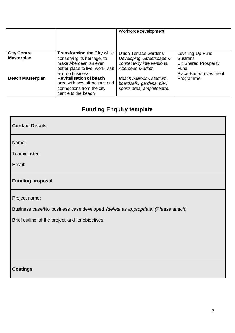|                                         |                                                                                                                                                     | Workforce development                                                                                 |                                                                                                              |
|-----------------------------------------|-----------------------------------------------------------------------------------------------------------------------------------------------------|-------------------------------------------------------------------------------------------------------|--------------------------------------------------------------------------------------------------------------|
| <b>City Centre</b><br><b>Masterplan</b> | <b>Transforming the City while</b><br>conserving its heritage, to<br>make Aberdeen an even<br>better place to live, work, visit<br>and do business. | Union Terrace Gardens<br>Developing -Streetscape &<br>connectivity interventions,<br>Aberdeen Market. | Levelling Up Fund<br><b>Sustrans</b><br><b>UK Shared Prosperity</b><br>Fund<br><b>Place-Based Investment</b> |
| <b>Beach Masterplan</b>                 | <b>Revitalisation of beach</b><br>area with new attractions and<br>connections from the city<br>centre to the beach                                 | Beach ballroom, stadium,<br>boardwalk, gardens, pier,<br>sports area, amphitheatre.                   | Programme                                                                                                    |

## **Funding Enquiry template**

| <b>Contact Details</b>                                                           |
|----------------------------------------------------------------------------------|
| Name:                                                                            |
| Team/cluster:                                                                    |
| Email:                                                                           |
| <b>Funding proposal</b>                                                          |
| Project name:                                                                    |
| Business case/No business case developed (delete as appropriate) (Please attach) |
| Brief outline of the project and its objectives:                                 |
|                                                                                  |
|                                                                                  |
|                                                                                  |
| <b>Costings</b>                                                                  |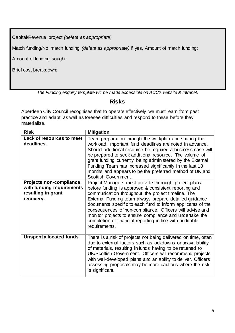Capital/Revenue project *(delete as appropriate)*

Match funding/No match funding *(delete as appropriate)* If yes, Amount of match funding:

Amount of funding sought:

Brief cost breakdown:

*The Funding enquiry template will be made accessible on ACC's website & Intranet.*

#### **Risks**

Aberdeen City Council recognises that to operate effectively we must learn from past practice and adapt, as well as foresee difficulties and respond to these before they materialise.

| <b>Risk</b>                                                                                    | <b>Mitigation</b>                                                                                                                                                                                                                                                                                                                                                                                                                                                                                |
|------------------------------------------------------------------------------------------------|--------------------------------------------------------------------------------------------------------------------------------------------------------------------------------------------------------------------------------------------------------------------------------------------------------------------------------------------------------------------------------------------------------------------------------------------------------------------------------------------------|
| <b>Lack of resources to meet</b><br>deadlines.                                                 | Team preparation through the workplan and sharing the<br>workload. Important fund deadlines are noted in advance.<br>Should additional resource be required a business case will<br>be prepared to seek additional resource. The volume of<br>grant funding currently being administered by the External<br>Funding Team has increased significantly in the last 18<br>months and appears to be the preferred method of UK and<br>Scottish Government.                                           |
| <b>Projects non-compliance</b><br>with funding requirements<br>resulting in grant<br>recovery. | Project Managers must provide thorough project plans<br>before funding is approved & consistent reporting and<br>communication throughout the project timeline. The<br>External Funding team always prepare detailed guidance<br>documents specific to each fund to inform applicants of the<br>consequences of non-compliance. Officers will advise and<br>monitor projects to ensure compliance and undertake the<br>completion of financial reporting in line with auditable<br>requirements. |
| <b>Unspent allocated funds</b>                                                                 | There is a risk of projects not being delivered on time, often<br>due to external factors such as lockdowns or unavailability<br>of materials, resulting in funds having to be returned to<br>UK/Scottish Government. Officers will recommend projects<br>with well-developed plans and an ability to deliver. Officers<br>assessing proposals may be more cautious where the risk<br>is significant.                                                                                            |